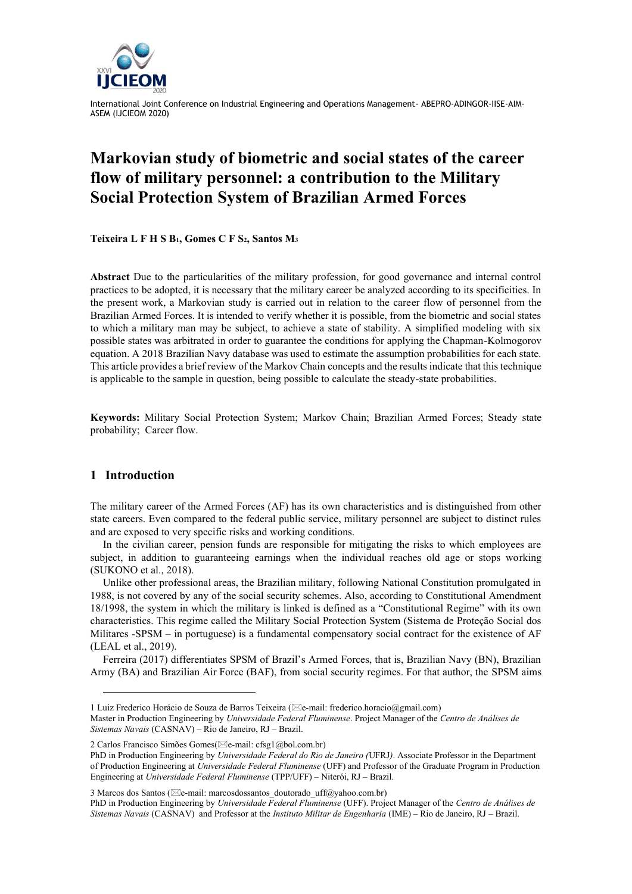

# **Markovian study of biometric and social states of the career flow of military personnel: a contribution to the Military Social Protection System of Brazilian Armed Forces**

**Teixeira L F H S B1, Gomes C F S2, Santos M<sup>3</sup>**

**Abstract** Due to the particularities of the military profession, for good governance and internal control practices to be adopted, it is necessary that the military career be analyzed according to its specificities. In the present work, a Markovian study is carried out in relation to the career flow of personnel from the Brazilian Armed Forces. It is intended to verify whether it is possible, from the biometric and social states to which a military man may be subject, to achieve a state of stability. A simplified modeling with six possible states was arbitrated in order to guarantee the conditions for applying the Chapman-Kolmogorov equation. A 2018 Brazilian Navy database was used to estimate the assumption probabilities for each state. This article provides a brief review of the Markov Chain concepts and the results indicate that this technique is applicable to the sample in question, being possible to calculate the steady-state probabilities.

**Keywords:** Military Social Protection System; Markov Chain; Brazilian Armed Forces; Steady state probability; Career flow.

# **1 Introduction**

The military career of the Armed Forces (AF) has its own characteristics and is distinguished from other state careers. Even compared to the federal public service, military personnel are subject to distinct rules and are exposed to very specific risks and working conditions.

In the civilian career, pension funds are responsible for mitigating the risks to which employees are subject, in addition to guaranteeing earnings when the individual reaches old age or stops working (SUKONO et al., 2018).

Unlike other professional areas, the Brazilian military, following National Constitution promulgated in 1988, is not covered by any of the social security schemes. Also, according to Constitutional Amendment 18/1998, the system in which the military is linked is defined as a "Constitutional Regime" with its own characteristics. This regime called the Military Social Protection System (Sistema de Proteção Social dos Militares -SPSM – in portuguese) is a fundamental compensatory social contract for the existence of AF (LEAL et al., 2019).

Ferreira (2017) differentiates SPSM of Brazil's Armed Forces, that is, Brazilian Navy (BN), Brazilian Army (BA) and Brazilian Air Force (BAF), from social security regimes. For that author, the SPSM aims

2 Carlos Francisco Simões Gomes(⊠e-mail: cfsg1@bol.com.br)

<sup>1</sup> Luiz Frederico Horácio de Souza de Barros Teixeira ( $\boxtimes$ e-mail: frederico.horacio@gmail.com)

Master in Production Engineering by *Universidade Federal Fluminense*. Project Manager of the *Centro de Análises de Sistemas Navais* (CASNAV) – Rio de Janeiro, RJ – Brazil.

PhD in Production Engineering by *Universidade Federal do Rio de Janeiro (*UFRJ*)*. Associate Professor in the Department of Production Engineering at *Universidade Federal Fluminense* (UFF) and Professor of the Graduate Program in Production Engineering at *Universidade Federal Fluminense* (TPP/UFF) – Niterói, RJ – Brazil.

<sup>3</sup> Marcos dos Santos ( $\boxtimes$ e-mail: marcosdossantos doutorado uff@yahoo.com.br)

PhD in Production Engineering by *Universidade Federal Fluminense* (UFF). Project Manager of the *Centro de Análises de Sistemas Navais* (CASNAV) and Professor at the *Instituto Militar de Engenharia* (IME) – Rio de Janeiro, RJ – Brazil.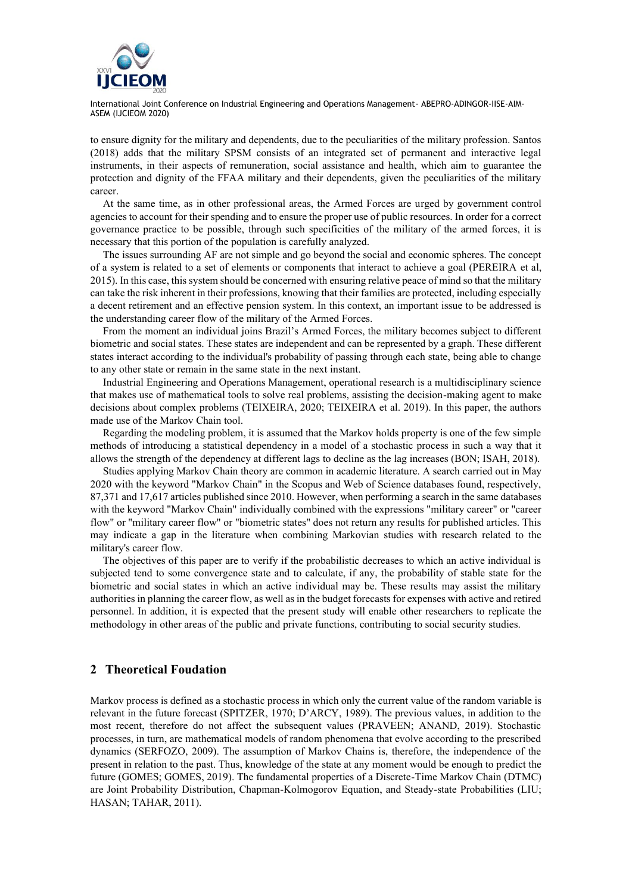

to ensure dignity for the military and dependents, due to the peculiarities of the military profession. Santos (2018) adds that the military SPSM consists of an integrated set of permanent and interactive legal instruments, in their aspects of remuneration, social assistance and health, which aim to guarantee the protection and dignity of the FFAA military and their dependents, given the peculiarities of the military career.

At the same time, as in other professional areas, the Armed Forces are urged by government control agencies to account for their spending and to ensure the proper use of public resources. In order for a correct governance practice to be possible, through such specificities of the military of the armed forces, it is necessary that this portion of the population is carefully analyzed.

The issues surrounding AF are not simple and go beyond the social and economic spheres. The concept of a system is related to a set of elements or components that interact to achieve a goal (PEREIRA et al, 2015). In this case, this system should be concerned with ensuring relative peace of mind so that the military can take the risk inherent in their professions, knowing that their families are protected, including especially a decent retirement and an effective pension system. In this context, an important issue to be addressed is the understanding career flow of the military of the Armed Forces.

From the moment an individual joins Brazil's Armed Forces, the military becomes subject to different biometric and social states. These states are independent and can be represented by a graph. These different states interact according to the individual's probability of passing through each state, being able to change to any other state or remain in the same state in the next instant.

Industrial Engineering and Operations Management, operational research is a multidisciplinary science that makes use of mathematical tools to solve real problems, assisting the decision-making agent to make decisions about complex problems (TEIXEIRA, 2020; TEIXEIRA et al. 2019). In this paper, the authors made use of the Markov Chain tool.

Regarding the modeling problem, it is assumed that the Markov holds property is one of the few simple methods of introducing a statistical dependency in a model of a stochastic process in such a way that it allows the strength of the dependency at different lags to decline as the lag increases (BON; ISAH, 2018).

Studies applying Markov Chain theory are common in academic literature. A search carried out in May 2020 with the keyword "Markov Chain" in the Scopus and Web of Science databases found, respectively, 87,371 and 17,617 articles published since 2010. However, when performing a search in the same databases with the keyword "Markov Chain" individually combined with the expressions "military career" or "career flow" or "military career flow" or "biometric states" does not return any results for published articles. This may indicate a gap in the literature when combining Markovian studies with research related to the military's career flow.

The objectives of this paper are to verify if the probabilistic decreases to which an active individual is subjected tend to some convergence state and to calculate, if any, the probability of stable state for the biometric and social states in which an active individual may be. These results may assist the military authorities in planning the career flow, as well as in the budget forecasts for expenses with active and retired personnel. In addition, it is expected that the present study will enable other researchers to replicate the methodology in other areas of the public and private functions, contributing to social security studies.

## **2 Theoretical Foudation**

Markov process is defined as a stochastic process in which only the current value of the random variable is relevant in the future forecast (SPITZER, 1970; D'ARCY, 1989). The previous values, in addition to the most recent, therefore do not affect the subsequent values (PRAVEEN; ANAND, 2019). Stochastic processes, in turn, are mathematical models of random phenomena that evolve according to the prescribed dynamics (SERFOZO, 2009). The assumption of Markov Chains is, therefore, the independence of the present in relation to the past. Thus, knowledge of the state at any moment would be enough to predict the future (GOMES; GOMES, 2019). The fundamental properties of a Discrete-Time Markov Chain (DTMC) are Joint Probability Distribution, Chapman-Kolmogorov Equation, and Steady-state Probabilities (LIU; HASAN; TAHAR, 2011).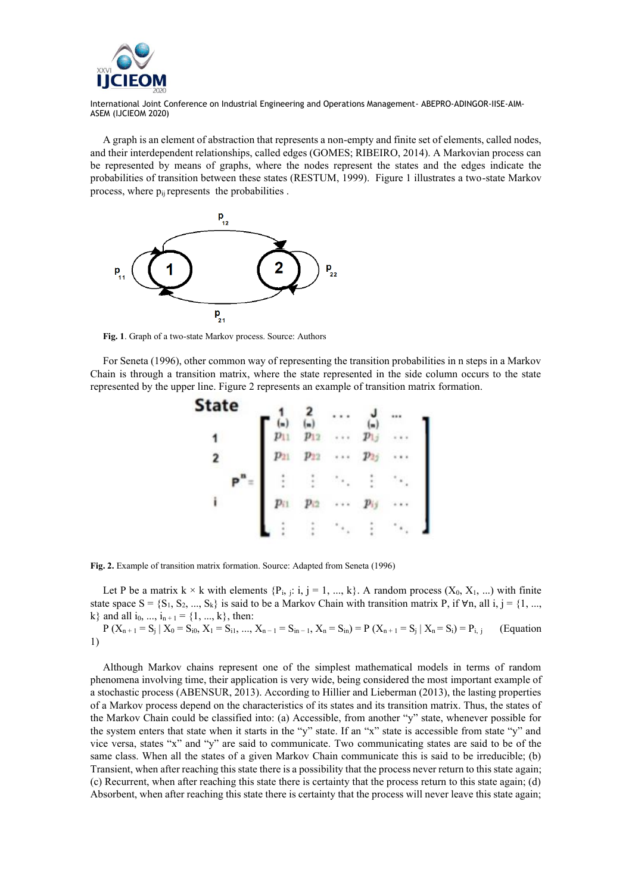

A graph is an element of abstraction that represents a non-empty and finite set of elements, called nodes, and their interdependent relationships, called edges (GOMES; RIBEIRO, 2014). A Markovian process can be represented by means of graphs, where the nodes represent the states and the edges indicate the probabilities of transition between these states (RESTUM, 1999). Figure 1 illustrates a two-state Markov process, where  $p_{ii}$  represents the probabilities.



**Fig. 1**. Graph of a two-state Markov process. Source: Authors

For Seneta (1996), other common way of representing the transition probabilities in n steps in a Markov Chain is through a transition matrix, where the state represented in the side column occurs to the state represented by the upper line. Figure 2 represents an example of transition matrix formation.

| state |    |  |  |
|-------|----|--|--|
|       |    |  |  |
|       | 99 |  |  |
|       |    |  |  |
| i     |    |  |  |
|       |    |  |  |

**Fig. 2.** Example of transition matrix formation. Source: Adapted from Seneta (1996)

Let P be a matrix  $k \times k$  with elements  $\{P_i, j: i, j = 1, ..., k\}$ . A random process  $(X_0, X_1, ...)$  with finite state space  $S = \{S_1, S_2, ..., S_k\}$  is said to be a Markov Chain with transition matrix P, if  $\forall n$ , all i, j = {1, ..., k} and all i<sub>0</sub>, ..., i<sub>n+1</sub> = {1, ..., k}, then:

P  $(X_{n+1} = S_j | X_0 = S_{i0}, X_1 = S_{i1}, ..., X_{n-1} = S_{in-1}, X_n = S_{in}) = P(X_{n+1} = S_j | X_n = S_i) = P_{i, j}$  (Equation 1)

Although Markov chains represent one of the simplest mathematical models in terms of random phenomena involving time, their application is very wide, being considered the most important example of a stochastic process (ABENSUR, 2013). According to Hillier and Lieberman (2013), the lasting properties of a Markov process depend on the characteristics of its states and its transition matrix. Thus, the states of the Markov Chain could be classified into: (a) Accessible, from another "y" state, whenever possible for the system enters that state when it starts in the "y" state. If an "x" state is accessible from state "y" and vice versa, states "x" and "y" are said to communicate. Two communicating states are said to be of the same class. When all the states of a given Markov Chain communicate this is said to be irreducible; (b) Transient, when after reaching this state there is a possibility that the process never return to this state again; (c) Recurrent, when after reaching this state there is certainty that the process return to this state again; (d) Absorbent, when after reaching this state there is certainty that the process will never leave this state again;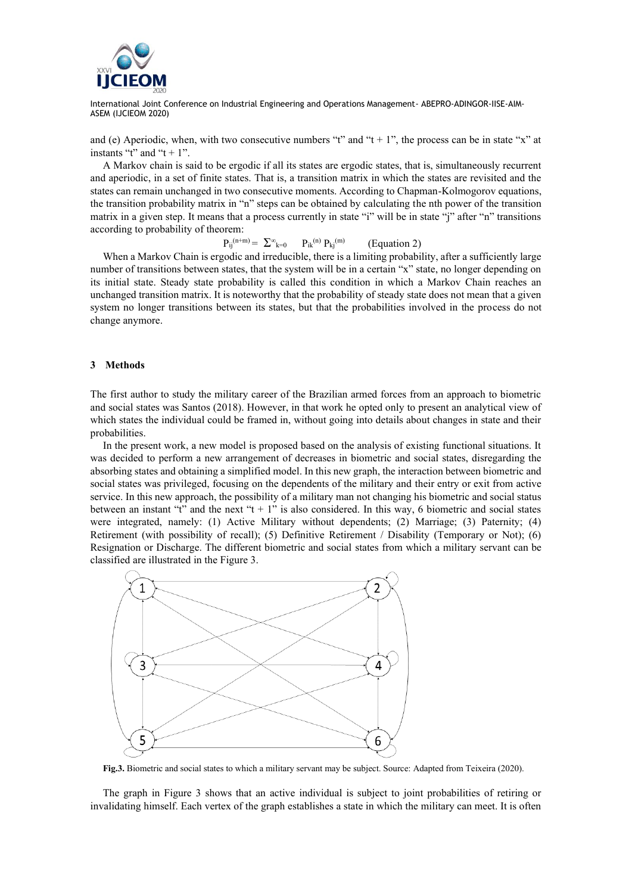

and (e) Aperiodic, when, with two consecutive numbers "t" and "t + 1", the process can be in state "x" at instants "t" and "t + 1".

A Markov chain is said to be ergodic if all its states are ergodic states, that is, simultaneously recurrent and aperiodic, in a set of finite states. That is, a transition matrix in which the states are revisited and the states can remain unchanged in two consecutive moments. According to Chapman-Kolmogorov equations, the transition probability matrix in "n" steps can be obtained by calculating the nth power of the transition matrix in a given step. It means that a process currently in state "i" will be in state "j" after "n" transitions according to probability of theorem:

$$
P_{ij}^{(n+m)} = \sum_{k=0}^{\infty} P_{ik}^{(n)} P_{kj}^{(m)} \qquad \text{(Equation 2)}
$$

When a Markov Chain is ergodic and irreducible, there is a limiting probability, after a sufficiently large number of transitions between states, that the system will be in a certain "x" state, no longer depending on its initial state. Steady state probability is called this condition in which a Markov Chain reaches an unchanged transition matrix. It is noteworthy that the probability of steady state does not mean that a given system no longer transitions between its states, but that the probabilities involved in the process do not change anymore.

#### **3 Methods**

The first author to study the military career of the Brazilian armed forces from an approach to biometric and social states was Santos (2018). However, in that work he opted only to present an analytical view of which states the individual could be framed in, without going into details about changes in state and their probabilities.

In the present work, a new model is proposed based on the analysis of existing functional situations. It was decided to perform a new arrangement of decreases in biometric and social states, disregarding the absorbing states and obtaining a simplified model. In this new graph, the interaction between biometric and social states was privileged, focusing on the dependents of the military and their entry or exit from active service. In this new approach, the possibility of a military man not changing his biometric and social status between an instant "t" and the next "t + 1" is also considered. In this way, 6 biometric and social states were integrated, namely: (1) Active Military without dependents; (2) Marriage; (3) Paternity; (4) Retirement (with possibility of recall); (5) Definitive Retirement / Disability (Temporary or Not); (6) Resignation or Discharge. The different biometric and social states from which a military servant can be classified are illustrated in the Figure 3.



**Fig.3.** Biometric and social states to which a military servant may be subject. Source: Adapted from Teixeira (2020).

The graph in Figure 3 shows that an active individual is subject to joint probabilities of retiring or invalidating himself. Each vertex of the graph establishes a state in which the military can meet. It is often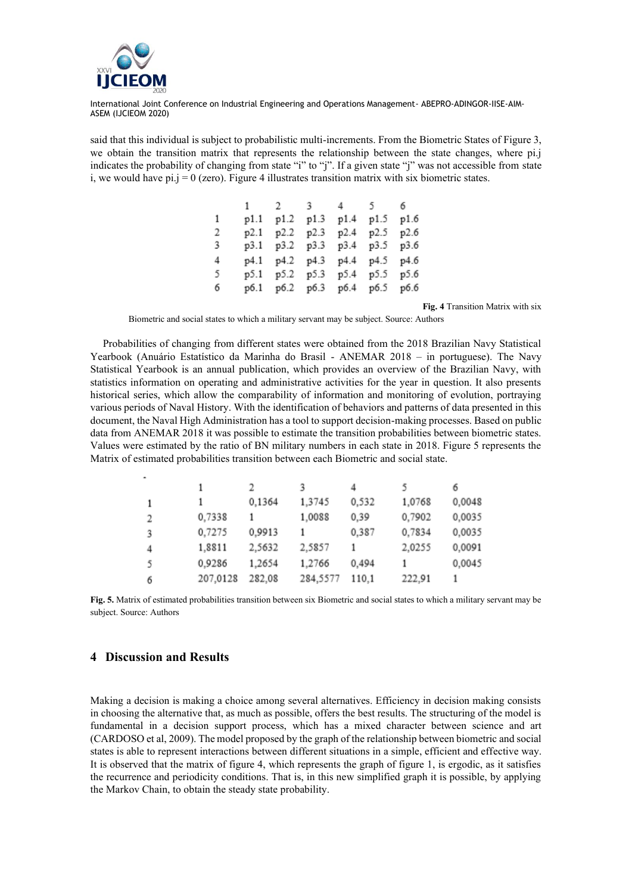

said that this individual is subject to probabilistic multi-increments. From the Biometric States of Figure 3, we obtain the transition matrix that represents the relationship between the state changes, where pi.j indicates the probability of changing from state "i" to "j". If a given state "j" was not accessible from state i, we would have  $pi$ .j = 0 (zero). Figure 4 illustrates transition matrix with six biometric states.

|   |  | 1 2 3 4 5 6                   |      |
|---|--|-------------------------------|------|
| 1 |  | p1.1 p1.2 p1.3 p1.4 p1.5      | p1.6 |
| 2 |  | p2.1 p2.2 p2.3 p2.4 p2.5 p2.6 |      |
| 3 |  | p3.1 p3.2 p3.3 p3.4 p3.5 p3.6 |      |
| 4 |  | p4.1 p4.2 p4.3 p4.4 p4.5 p4.6 |      |
| 5 |  | p5.1 p5.2 p5.3 p5.4 p5.5 p5.6 |      |
| 6 |  | p6.1 p6.2 p6.3 p6.4 p6.5 p6.6 |      |

**Fig. 4** Transition Matrix with six

Biometric and social states to which a military servant may be subject. Source: Authors

Probabilities of changing from different states were obtained from the 2018 Brazilian Navy Statistical Yearbook (Anuário Estatístico da Marinha do Brasil - ANEMAR 2018 – in portuguese). The Navy Statistical Yearbook is an annual publication, which provides an overview of the Brazilian Navy, with statistics information on operating and administrative activities for the year in question. It also presents historical series, which allow the comparability of information and monitoring of evolution, portraying various periods of Naval History. With the identification of behaviors and patterns of data presented in this document, the Naval High Administration has a tool to support decision-making processes. Based on public data from ANEMAR 2018 it was possible to estimate the transition probabilities between biometric states. Values were estimated by the ratio of BN military numbers in each state in 2018. Figure 5 represents the Matrix of estimated probabilities transition between each Biometric and social state.

|   |          |        |          |       |        | 6      |
|---|----------|--------|----------|-------|--------|--------|
| 1 |          | 0,1364 | 1.3745   | 0,532 | 1,0768 | 0,0048 |
| 2 | 0,7338   |        | 1,0088   | 0,39  | 0,7902 | 0,0035 |
| 3 | 0,7275   | 0,9913 |          | 0,387 | 0,7834 | 0,0035 |
| 4 | 1.8811   | 2,5632 | 2.5857   |       | 2,0255 | 0,0091 |
| 5 | 0.9286   | 1.2654 | 1.2766   | 0.494 |        | 0,0045 |
| 6 | 207,0128 | 282,08 | 284,5577 | 110.1 | 222,91 |        |

**Fig. 5.** Matrix of estimated probabilities transition between six Biometric and social states to which a military servant may be subject. Source: Authors

## **4 Discussion and Results**

Making a decision is making a choice among several alternatives. Efficiency in decision making consists in choosing the alternative that, as much as possible, offers the best results. The structuring of the model is fundamental in a decision support process, which has a mixed character between science and art (CARDOSO et al, 2009). The model proposed by the graph of the relationship between biometric and social states is able to represent interactions between different situations in a simple, efficient and effective way. It is observed that the matrix of figure 4, which represents the graph of figure 1, is ergodic, as it satisfies the recurrence and periodicity conditions. That is, in this new simplified graph it is possible, by applying the Markov Chain, to obtain the steady state probability.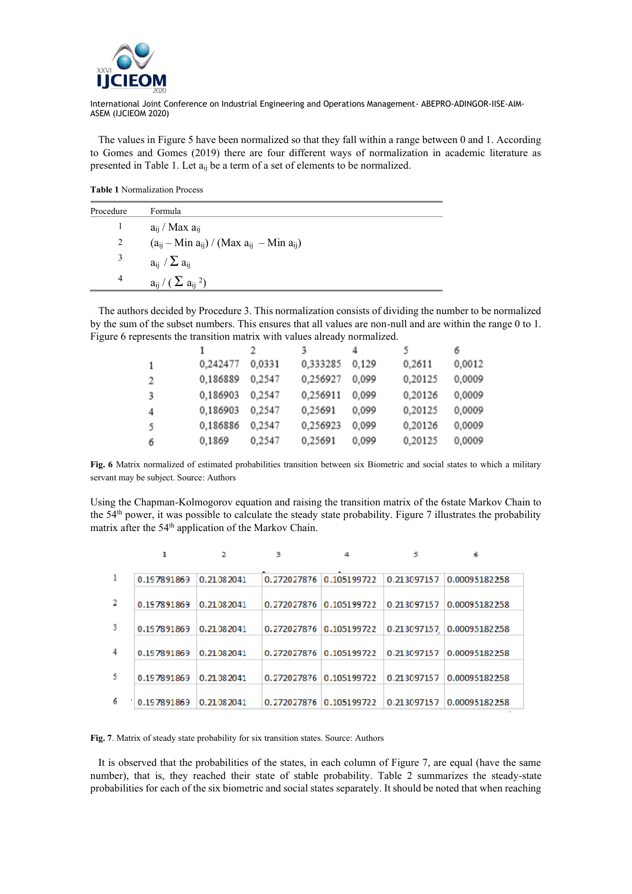

 The values in Figure 5 have been normalized so that they fall within a range between 0 and 1. According to Gomes and Gomes (2019) there are four different ways of normalization in academic literature as presented in Table 1. Let  $a_{ij}$  be a term of a set of elements to be normalized.

**Table 1** Normalization Process

| Procedure | Formula                                             |
|-----------|-----------------------------------------------------|
|           | $a_{ij}$ / Max $a_{ij}$                             |
| 2         | $(a_{ij} - Min a_{ij}) / (Max a_{ij} - Min a_{ij})$ |
| 3         | $a_{ij}$ / $\Sigma a_{ij}$                          |
| 4         | $a_{ii}$ / ( $\sum a_{ii}$ <sup>2</sup> )           |

 The authors decided by Procedure 3. This normalization consists of dividing the number to be normalized by the sum of the subset numbers. This ensures that all values are non-null and are within the range 0 to 1. Figure 6 represents the transition matrix with values already normalized.

|   |          |        |          |       |         | 6      |
|---|----------|--------|----------|-------|---------|--------|
|   | 0,242477 | 0,0331 | 0,333285 | 0.129 | 0,2611  | 0,0012 |
| 2 | 0,186889 | 0,2547 | 0,256927 | 0.099 | 0,20125 | 0,0009 |
| 3 | 0,186903 | 0.2547 | 0,256911 | 0.099 | 0,20126 | 0,0009 |
| 4 | 0,186903 | 0.2547 | 0.25691  | 0.099 | 0,20125 | 0,0009 |
| 5 | 0,186886 | 0,2547 | 0.256923 | 0,099 | 0,20126 | 0,0009 |
| 6 | 0,1869   | 0.2547 | 0.25691  | 0,099 | 0,20125 | 0,0009 |

**Fig. 6** Matrix normalized of estimated probabilities transition between six Biometric and social states to which a military servant may be subject. Source: Authors

Using the Chapman-Kolmogorov equation and raising the transition matrix of the 6state Markov Chain to the 54<sup>th</sup> power, it was possible to calculate the steady state probability. Figure 7 illustrates the probability matrix after the 54<sup>th</sup> application of the Markov Chain.

| 0.197891869<br>0.21082041                   | 0.272027876 0.105199722 | 0.213097157 | 0.00095182258             |
|---------------------------------------------|-------------------------|-------------|---------------------------|
| $\overline{2}$<br>0.197891869<br>0.21082041 | 0.272027876 0.105199722 | 0.213097157 | 0.00095182258             |
| -3<br>0.197891869<br>0.21082041             | 0.272027876 0.105199722 |             | 0.213097157 0.00095182258 |
|                                             |                         |             |                           |
| $\overline{4}$<br>0.197891869<br>0.21082041 | 0.272027876 0.105199722 | 0.213097157 | 0.00095182258             |
| 5<br>0.197891869<br>0.21082041              | 0.272027876 0.105199722 | 0.213097157 | 0.00095182258             |
| 6<br>0.197891869<br>0.21082041              | 0.272027876 0.105199722 | 0.213097157 | 0.00095182258             |

Fig. 7. Matrix of steady state probability for six transition states. Source: Authors

 It is observed that the probabilities of the states, in each column of Figure 7, are equal (have the same number), that is, they reached their state of stable probability. Table 2 summarizes the steady-state probabilities for each of the six biometric and social states separately. It should be noted that when reaching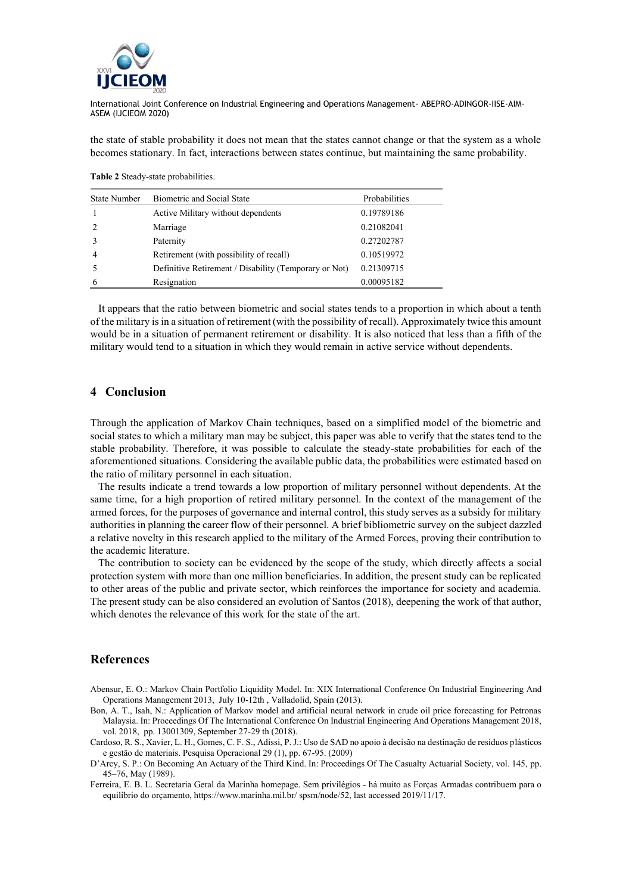

the state of stable probability it does not mean that the states cannot change or that the system as a whole becomes stationary. In fact, interactions between states continue, but maintaining the same probability.

**Table 2** Steady-state probabilities.

| <b>State Number</b> | Biometric and Social State                            | Probabilities |
|---------------------|-------------------------------------------------------|---------------|
|                     | Active Military without dependents                    | 0.19789186    |
| 2                   | Marriage                                              | 0.21082041    |
|                     | Paternity                                             | 0.27202787    |
| $\overline{4}$      | Retirement (with possibility of recall)               | 0.10519972    |
|                     | Definitive Retirement / Disability (Temporary or Not) | 0.21309715    |
| 6                   | Resignation                                           | 0.00095182    |

 It appears that the ratio between biometric and social states tends to a proportion in which about a tenth of the military is in a situation of retirement (with the possibility of recall). Approximately twice this amount would be in a situation of permanent retirement or disability. It is also noticed that less than a fifth of the military would tend to a situation in which they would remain in active service without dependents.

## **4 Conclusion**

Through the application of Markov Chain techniques, based on a simplified model of the biometric and social states to which a military man may be subject, this paper was able to verify that the states tend to the stable probability. Therefore, it was possible to calculate the steady-state probabilities for each of the aforementioned situations. Considering the available public data, the probabilities were estimated based on the ratio of military personnel in each situation.

 The results indicate a trend towards a low proportion of military personnel without dependents. At the same time, for a high proportion of retired military personnel. In the context of the management of the armed forces, for the purposes of governance and internal control, this study serves as a subsidy for military authorities in planning the career flow of their personnel. A brief bibliometric survey on the subject dazzled a relative novelty in this research applied to the military of the Armed Forces, proving their contribution to the academic literature.

 The contribution to society can be evidenced by the scope of the study, which directly affects a social protection system with more than one million beneficiaries. In addition, the present study can be replicated to other areas of the public and private sector, which reinforces the importance for society and academia. The present study can be also considered an evolution of Santos (2018), deepening the work of that author, which denotes the relevance of this work for the state of the art.

#### **References**

- Abensur, E. O.: Markov Chain Portfolio Liquidity Model. In: XIX International Conference On Industrial Engineering And Operations Management 2013, July 10-12th , Valladolid, Spain (2013).
- Bon, A. T., Isah, N.: Application of Markov model and artificial neural network in crude oil price forecasting for Petronas Malaysia. In: Proceedings Of The International Conference On Industrial Engineering And Operations Management 2018, vol. 2018, pp. 13001309, September 27-29 th (2018).
- Cardoso, R. S., Xavier, L. H., Gomes, C. F. S., Adissi, P. J.: Uso de SAD no apoio à decisão na destinação de resíduos plásticos e gestão de materiais. Pesquisa Operacional 29 (1), pp. 67-95. (2009)
- D'Arcy, S. P.: On Becoming An Actuary of the Third Kind. In: Proceedings Of The Casualty Actuarial Society, vol. 145, pp. 45–76, May (1989).
- Ferreira, E. B. L. Secretaria Geral da Marinha homepage. Sem privilégios há muito as Forças Armadas contribuem para o equilíbrio do orçamento, https://www.marinha.mil.br/ spsm/node/52, last accessed 2019/11/17.